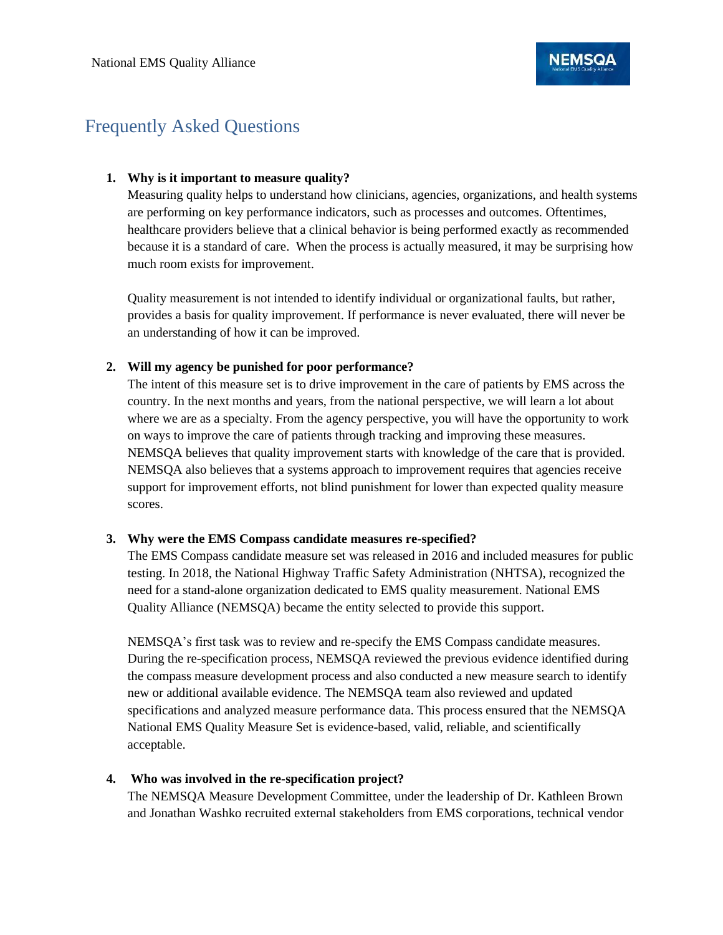# Frequently Asked Questions

# **1. Why is it important to measure quality?**

Measuring quality helps to understand how clinicians, agencies, organizations, and health systems are performing on key performance indicators, such as processes and outcomes. Oftentimes, healthcare providers believe that a clinical behavior is being performed exactly as recommended because it is a standard of care. When the process is actually measured, it may be surprising how much room exists for improvement.

Quality measurement is not intended to identify individual or organizational faults, but rather, provides a basis for quality improvement. If performance is never evaluated, there will never be an understanding of how it can be improved.

# **2. Will my agency be punished for poor performance?**

The intent of this measure set is to drive improvement in the care of patients by EMS across the country. In the next months and years, from the national perspective, we will learn a lot about where we are as a specialty. From the agency perspective, you will have the opportunity to work on ways to improve the care of patients through tracking and improving these measures. NEMSQA believes that quality improvement starts with knowledge of the care that is provided. NEMSQA also believes that a systems approach to improvement requires that agencies receive support for improvement efforts, not blind punishment for lower than expected quality measure scores.

#### **3. Why were the EMS Compass candidate measures re-specified?**

The EMS Compass candidate measure set was released in 2016 and included measures for public testing. In 2018, the National Highway Traffic Safety Administration (NHTSA), recognized the need for a stand-alone organization dedicated to EMS quality measurement. National EMS Quality Alliance (NEMSQA) became the entity selected to provide this support.

NEMSQA's first task was to review and re-specify the EMS Compass candidate measures. During the re-specification process, NEMSQA reviewed the previous evidence identified during the compass measure development process and also conducted a new measure search to identify new or additional available evidence. The NEMSQA team also reviewed and updated specifications and analyzed measure performance data. This process ensured that the NEMSQA National EMS Quality Measure Set is evidence-based, valid, reliable, and scientifically acceptable.

# **4. Who was involved in the re-specification project?**

The NEMSQA Measure Development Committee, under the leadership of Dr. Kathleen Brown and Jonathan Washko recruited external stakeholders from EMS corporations, technical vendor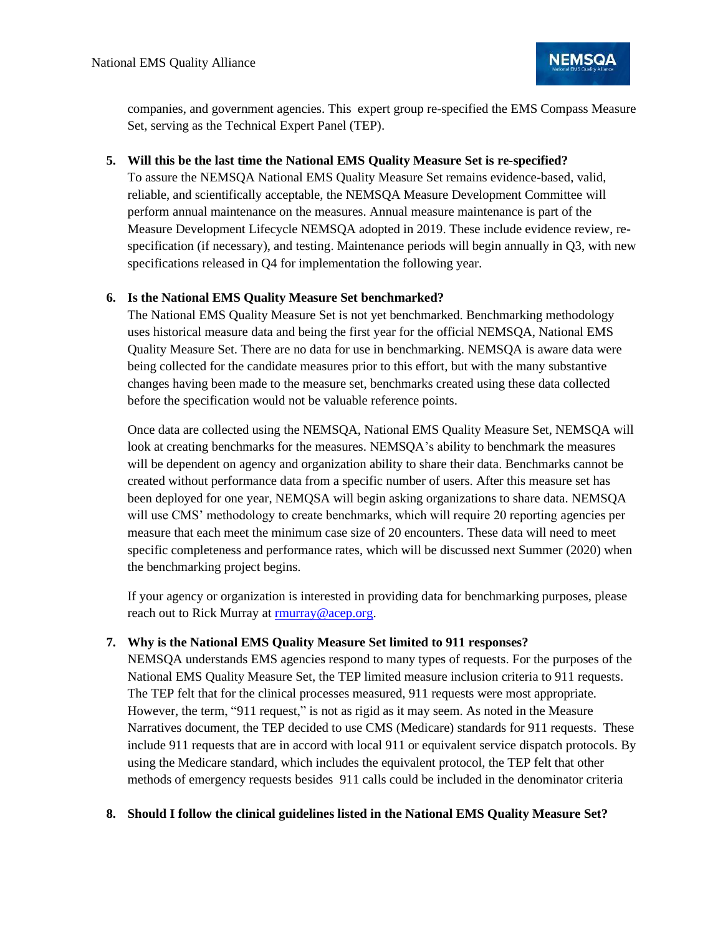

companies, and government agencies. This expert group re-specified the EMS Compass Measure Set, serving as the Technical Expert Panel (TEP).

#### **5. Will this be the last time the National EMS Quality Measure Set is re-specified?**

To assure the NEMSQA National EMS Quality Measure Set remains evidence-based, valid, reliable, and scientifically acceptable, the NEMSQA Measure Development Committee will perform annual maintenance on the measures. Annual measure maintenance is part of the Measure Development Lifecycle NEMSQA adopted in 2019. These include evidence review, respecification (if necessary), and testing. Maintenance periods will begin annually in Q3, with new specifications released in Q4 for implementation the following year.

# **6. Is the National EMS Quality Measure Set benchmarked?**

The National EMS Quality Measure Set is not yet benchmarked. Benchmarking methodology uses historical measure data and being the first year for the official NEMSQA, National EMS Quality Measure Set. There are no data for use in benchmarking. NEMSQA is aware data were being collected for the candidate measures prior to this effort, but with the many substantive changes having been made to the measure set, benchmarks created using these data collected before the specification would not be valuable reference points.

Once data are collected using the NEMSQA, National EMS Quality Measure Set, NEMSQA will look at creating benchmarks for the measures. NEMSQA's ability to benchmark the measures will be dependent on agency and organization ability to share their data. Benchmarks cannot be created without performance data from a specific number of users. After this measure set has been deployed for one year, NEMQSA will begin asking organizations to share data. NEMSQA will use CMS' methodology to create benchmarks, which will require 20 reporting agencies per measure that each meet the minimum case size of 20 encounters. These data will need to meet specific completeness and performance rates, which will be discussed next Summer (2020) when the benchmarking project begins.

If your agency or organization is interested in providing data for benchmarking purposes, please reach out to Rick Murray at [rmurray@acep.org.](mailto:rmurray@acep.org)

#### **7. Why is the National EMS Quality Measure Set limited to 911 responses?**

NEMSQA understands EMS agencies respond to many types of requests. For the purposes of the National EMS Quality Measure Set, the TEP limited measure inclusion criteria to 911 requests. The TEP felt that for the clinical processes measured, 911 requests were most appropriate. However, the term, "911 request," is not as rigid as it may seem. As noted in the Measure Narratives document, the TEP decided to use CMS (Medicare) standards for 911 requests. These include 911 requests that are in accord with local 911 or equivalent service dispatch protocols. By using the Medicare standard, which includes the equivalent protocol, the TEP felt that other methods of emergency requests besides 911 calls could be included in the denominator criteria

#### **8. Should I follow the clinical guidelines listed in the National EMS Quality Measure Set?**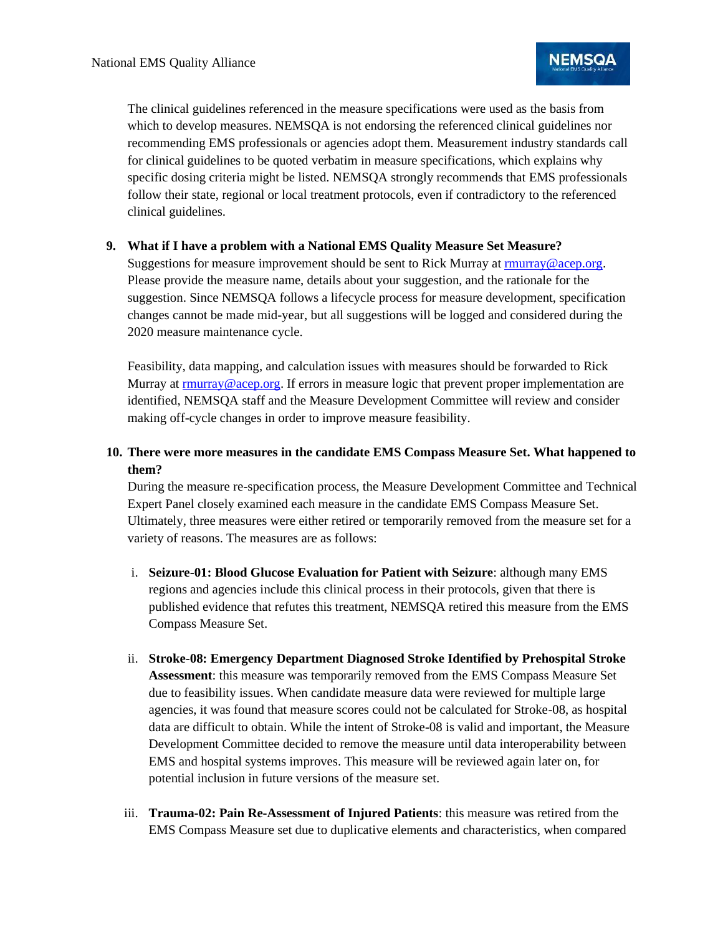The clinical guidelines referenced in the measure specifications were used as the basis from which to develop measures. NEMSQA is not endorsing the referenced clinical guidelines nor recommending EMS professionals or agencies adopt them. Measurement industry standards call for clinical guidelines to be quoted verbatim in measure specifications, which explains why specific dosing criteria might be listed. NEMSQA strongly recommends that EMS professionals follow their state, regional or local treatment protocols, even if contradictory to the referenced clinical guidelines.

# **9. What if I have a problem with a National EMS Quality Measure Set Measure?**

Suggestions for measure improvement should be sent to Rick Murray at [rmurray@acep.org.](mailto:rmurray@acep.org) Please provide the measure name, details about your suggestion, and the rationale for the suggestion. Since NEMSQA follows a lifecycle process for measure development, specification changes cannot be made mid-year, but all suggestions will be logged and considered during the 2020 measure maintenance cycle.

Feasibility, data mapping, and calculation issues with measures should be forwarded to Rick Murray at [rmurray@acep.org.](mailto:rmurray@acep.org) If errors in measure logic that prevent proper implementation are identified, NEMSQA staff and the Measure Development Committee will review and consider making off-cycle changes in order to improve measure feasibility.

# **10. There were more measures in the candidate EMS Compass Measure Set. What happened to them?**

During the measure re-specification process, the Measure Development Committee and Technical Expert Panel closely examined each measure in the candidate EMS Compass Measure Set. Ultimately, three measures were either retired or temporarily removed from the measure set for a variety of reasons. The measures are as follows:

- i. **Seizure-01: Blood Glucose Evaluation for Patient with Seizure**: although many EMS regions and agencies include this clinical process in their protocols, given that there is published evidence that refutes this treatment, NEMSQA retired this measure from the EMS Compass Measure Set.
- ii. **Stroke-08: Emergency Department Diagnosed Stroke Identified by Prehospital Stroke Assessment**: this measure was temporarily removed from the EMS Compass Measure Set due to feasibility issues. When candidate measure data were reviewed for multiple large agencies, it was found that measure scores could not be calculated for Stroke-08, as hospital data are difficult to obtain. While the intent of Stroke-08 is valid and important, the Measure Development Committee decided to remove the measure until data interoperability between EMS and hospital systems improves. This measure will be reviewed again later on, for potential inclusion in future versions of the measure set.
- iii. **Trauma-02: Pain Re-Assessment of Injured Patients**: this measure was retired from the EMS Compass Measure set due to duplicative elements and characteristics, when compared